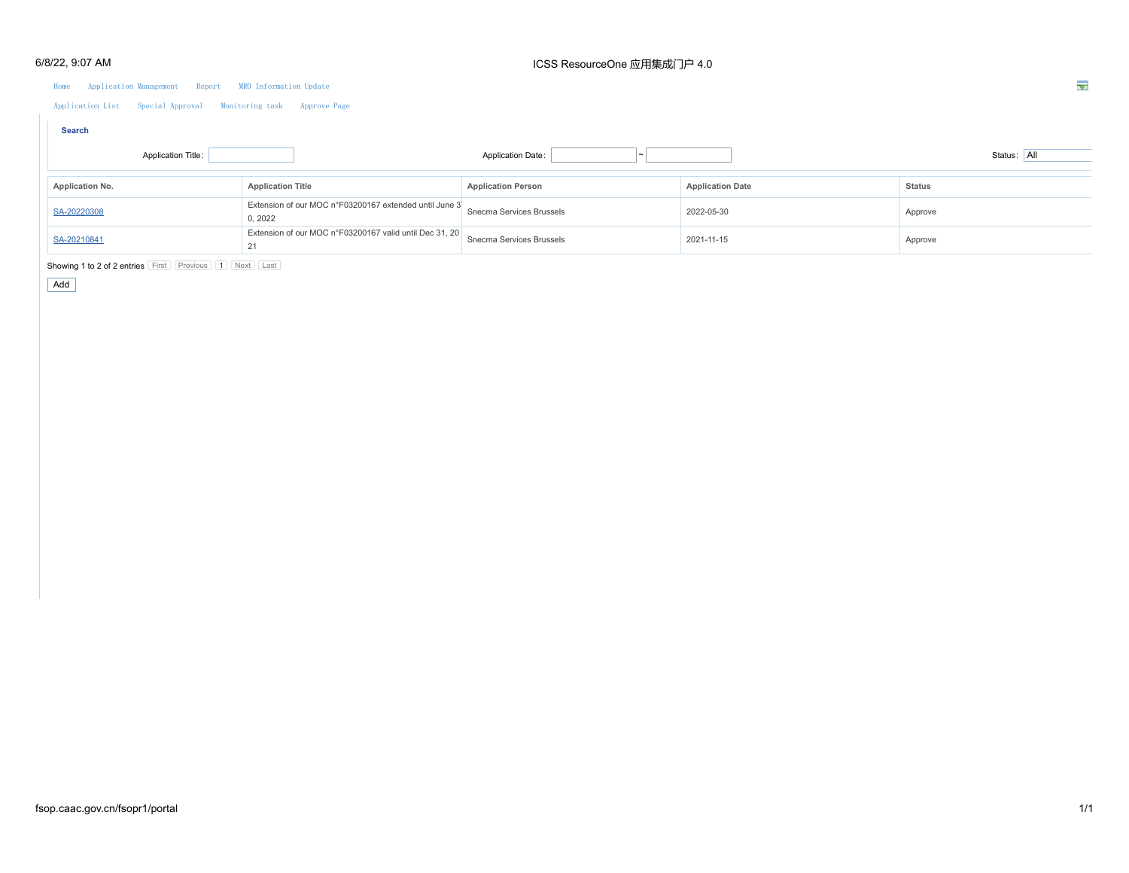#### Home Application Management Report MRO Information Update

Application List Special Approval Monitoring task Approve Page

| <b>Search</b>      |                                                                  |                           |                         |               |
|--------------------|------------------------------------------------------------------|---------------------------|-------------------------|---------------|
| Application Title: |                                                                  | <b>Application Date:</b>  |                         | Status: All   |
| Application No.    | <b>Application Title</b>                                         | <b>Application Person</b> | <b>Application Date</b> | <b>Status</b> |
| SA-20220308        | Extension of our MOC n°F03200167 extended until June 3<br>0.2022 | Snecma Services Brussels  | 2022-05-30              | Approve       |
| SA-20210841        | Extension of our MOC n°F03200167 valid until Dec 31, 20<br>21    | Snecma Services Brussels  | 2021-11-15              | Approve       |

Showing 1 to 2 of 2 entries First Previous 1 Next Last

Add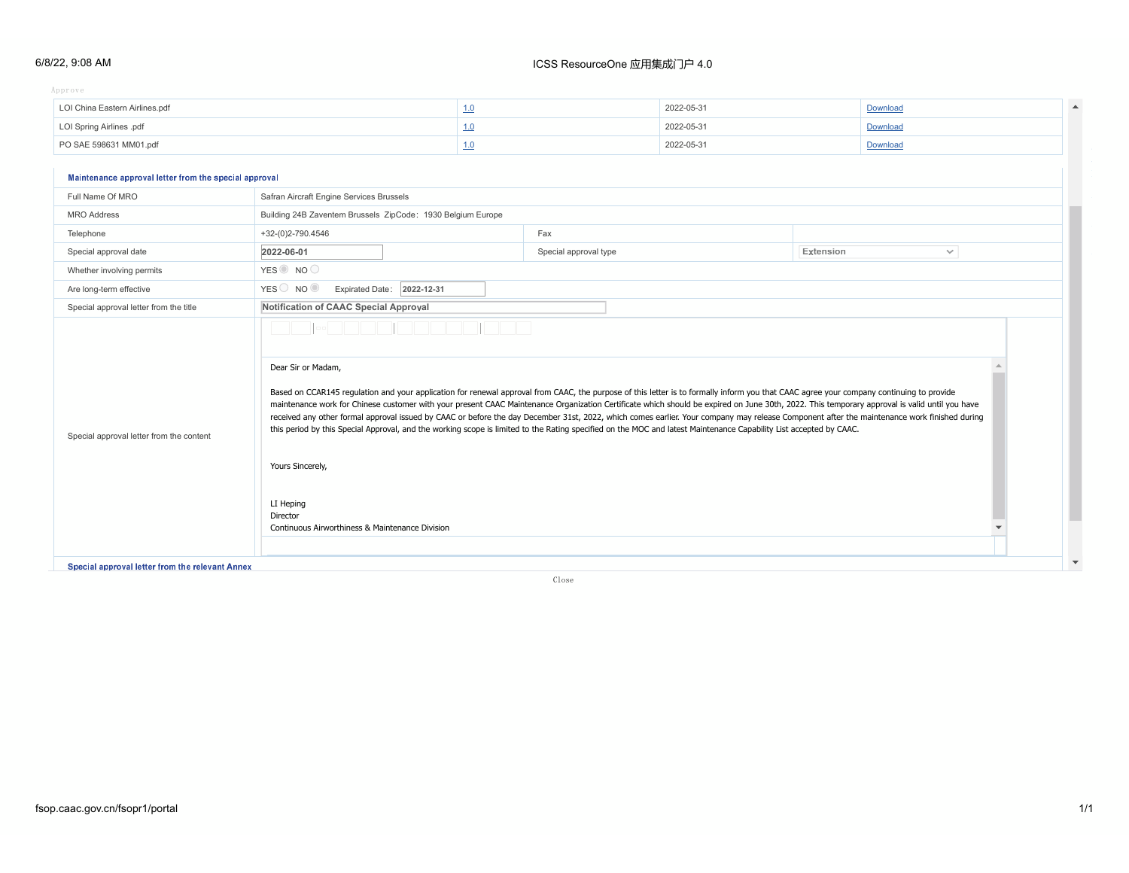#### 6/8/22, 9:08 AM

### ICSS ResourceOne 应用集成门户 4.0

Approve the system of the system of the system of the system of the system of the system of the system of the system of the system of the system of the system of the system of the system of the system of the system of the  $S$ solve

| LOI China Eastern Airlines.pdf | 2022-05-31 | Download |  |
|--------------------------------|------------|----------|--|
| LOI Spring Airlines .pdf       | 2022-05-31 | Download |  |
| PO SAE 598631 MM01.pdf         | 2022-05-31 | Download |  |
|                                |            |          |  |

### **Waintenance approval letter from the special approval**

| Full Name Of MRO                         | Safran Aircraft Engine Services Brussels                                                                                                                                                                                                                                                                                                                                                                                                                                                                                                                                                                                                                                                                                                                                                                                                                                                                                      |                       |           |              |  |
|------------------------------------------|-------------------------------------------------------------------------------------------------------------------------------------------------------------------------------------------------------------------------------------------------------------------------------------------------------------------------------------------------------------------------------------------------------------------------------------------------------------------------------------------------------------------------------------------------------------------------------------------------------------------------------------------------------------------------------------------------------------------------------------------------------------------------------------------------------------------------------------------------------------------------------------------------------------------------------|-----------------------|-----------|--------------|--|
| <b>MRO</b> Address                       | Building 24B Zaventem Brussels ZipCode: 1930 Belgium Europe                                                                                                                                                                                                                                                                                                                                                                                                                                                                                                                                                                                                                                                                                                                                                                                                                                                                   |                       |           |              |  |
| Telephone                                | +32-(0)2-790.4546                                                                                                                                                                                                                                                                                                                                                                                                                                                                                                                                                                                                                                                                                                                                                                                                                                                                                                             | Fax                   |           |              |  |
| Special approval date                    | 2022-06-01                                                                                                                                                                                                                                                                                                                                                                                                                                                                                                                                                                                                                                                                                                                                                                                                                                                                                                                    | Special approval type | Extension | $\checkmark$ |  |
| Whether involving permits                | YES <sup>O</sup> NO                                                                                                                                                                                                                                                                                                                                                                                                                                                                                                                                                                                                                                                                                                                                                                                                                                                                                                           |                       |           |              |  |
| Are long-term effective                  | YES NO O<br>Expirated Date: 2022-12-31                                                                                                                                                                                                                                                                                                                                                                                                                                                                                                                                                                                                                                                                                                                                                                                                                                                                                        |                       |           |              |  |
| Special approval letter from the title   | Notification of CAAC Special Approval<br>Dear Sir or Madam,<br>Based on CCAR145 regulation and your application for renewal approval from CAAC, the purpose of this letter is to formally inform you that CAAC agree your company continuing to provide<br>maintenance work for Chinese customer with your present CAAC Maintenance Organization Certificate which should be expired on June 30th, 2022. This temporary approval is valid until you have<br>received any other formal approval issued by CAAC or before the day December 31st, 2022, which comes earlier. Your company may release Component after the maintenance work finished during<br>this period by this Special Approval, and the working scope is limited to the Rating specified on the MOC and latest Maintenance Capability List accepted by CAAC.<br>Yours Sincerely,<br>LI Heping<br>Director<br>Continuous Airworthiness & Maintenance Division |                       |           |              |  |
| Special approval letter from the content |                                                                                                                                                                                                                                                                                                                                                                                                                                                                                                                                                                                                                                                                                                                                                                                                                                                                                                                               |                       |           |              |  |

Special approval letter from the relevant Annex

Close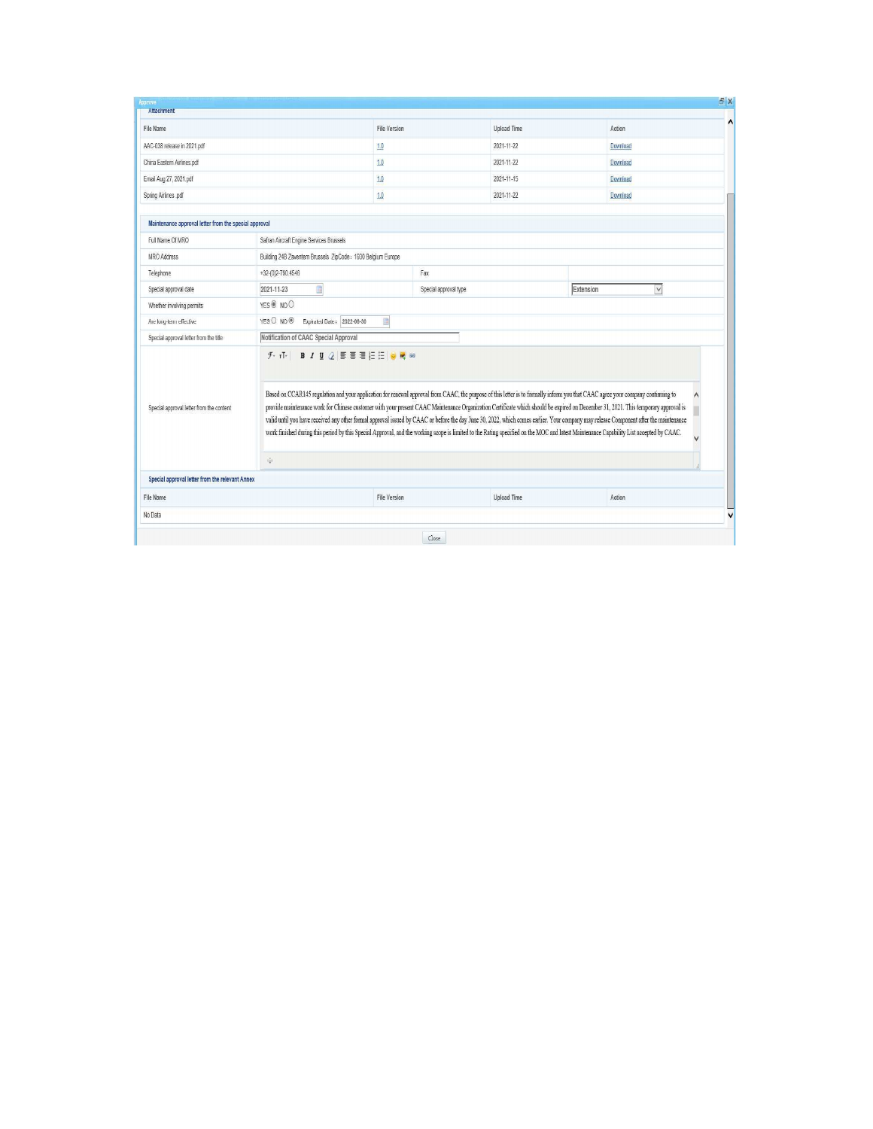| File Name                                             |                                                                                        | <b>File Version</b>                                         | <b>Upload Time</b>                                                                                                                                                                                                                                                                                                                                                                                                                                                                                                                                                                                                                                                                                                                                         | Action    |        |  |
|-------------------------------------------------------|----------------------------------------------------------------------------------------|-------------------------------------------------------------|------------------------------------------------------------------------------------------------------------------------------------------------------------------------------------------------------------------------------------------------------------------------------------------------------------------------------------------------------------------------------------------------------------------------------------------------------------------------------------------------------------------------------------------------------------------------------------------------------------------------------------------------------------------------------------------------------------------------------------------------------------|-----------|--------|--|
| AAC-038 release in 2021.pdf                           |                                                                                        | 10                                                          | 2021-11-22                                                                                                                                                                                                                                                                                                                                                                                                                                                                                                                                                                                                                                                                                                                                                 | Download  |        |  |
| China Eastern Airlines.pdf                            |                                                                                        | 10                                                          | 2021-11-22                                                                                                                                                                                                                                                                                                                                                                                                                                                                                                                                                                                                                                                                                                                                                 | Download  |        |  |
| Email Aug 27, 2021.pdf                                |                                                                                        | 1.0                                                         | 2021-11-15                                                                                                                                                                                                                                                                                                                                                                                                                                                                                                                                                                                                                                                                                                                                                 | Download  |        |  |
| Spring Airlines .pdf                                  |                                                                                        | 1.0                                                         | 2021-11-22                                                                                                                                                                                                                                                                                                                                                                                                                                                                                                                                                                                                                                                                                                                                                 | Download  |        |  |
| Maintenance approval letter from the special approval |                                                                                        |                                                             |                                                                                                                                                                                                                                                                                                                                                                                                                                                                                                                                                                                                                                                                                                                                                            |           |        |  |
| Full Name Of MRO                                      | Safran Aircraft Engine Services Brussels                                               |                                                             |                                                                                                                                                                                                                                                                                                                                                                                                                                                                                                                                                                                                                                                                                                                                                            |           |        |  |
| <b>MRO Address</b>                                    |                                                                                        | Building 24B Zaventem Brussels ZipCode: 1930 Belgium Europe |                                                                                                                                                                                                                                                                                                                                                                                                                                                                                                                                                                                                                                                                                                                                                            |           |        |  |
| Telephone                                             | $+32-(0)2-790.4546$                                                                    | Fax                                                         |                                                                                                                                                                                                                                                                                                                                                                                                                                                                                                                                                                                                                                                                                                                                                            |           |        |  |
| Special approval date                                 | E<br>2021-11-23                                                                        | Special approval type                                       |                                                                                                                                                                                                                                                                                                                                                                                                                                                                                                                                                                                                                                                                                                                                                            | Extension | $\vee$ |  |
| Whether involving permits                             | YES O NO O                                                                             |                                                             |                                                                                                                                                                                                                                                                                                                                                                                                                                                                                                                                                                                                                                                                                                                                                            |           |        |  |
| Are long-term effective                               | YES O NO ®<br>Expirated Date . 2022-06-30<br>彇                                         |                                                             |                                                                                                                                                                                                                                                                                                                                                                                                                                                                                                                                                                                                                                                                                                                                                            |           |        |  |
| Special approval letter from the title                | Notification of CAAC Special Approval                                                  |                                                             |                                                                                                                                                                                                                                                                                                                                                                                                                                                                                                                                                                                                                                                                                                                                                            |           |        |  |
| Special approval letter from the content              | <b>B</b> <i>I</i> U 2 F F H E E U C 3<br>$\mathcal{F}_{\nu}$ $\mathbf{r}$ $\mathbf{r}$ |                                                             | Based on CCAR145 regulation and your application for renewal approval from CAAC, the purpose of this letter is to formally inform you that CAAC agree your company continuing to<br>provide maintenance work for Chinese customer with your present CAAC Maintenance Organization Certificate which should be expired on December 31, 2021. This temporary approval is<br>valid until you have received any other formal approval issued by CAAC or before the day June 30, 2022, which comes earlier. Your company may release Component after the maintenance<br>work finished during this period by this Special Approval, and the working scope is limited to the Rating specified on the MOC and latest Maintenance Capability List accepted by CAAC. |           |        |  |
|                                                       | ÷                                                                                      |                                                             |                                                                                                                                                                                                                                                                                                                                                                                                                                                                                                                                                                                                                                                                                                                                                            |           |        |  |
| Special approval letter from the relevant Annex       |                                                                                        |                                                             |                                                                                                                                                                                                                                                                                                                                                                                                                                                                                                                                                                                                                                                                                                                                                            |           |        |  |
|                                                       |                                                                                        | <b>File Version</b>                                         | <b>Upload Time</b>                                                                                                                                                                                                                                                                                                                                                                                                                                                                                                                                                                                                                                                                                                                                         | Action    |        |  |
| File Name                                             |                                                                                        |                                                             |                                                                                                                                                                                                                                                                                                                                                                                                                                                                                                                                                                                                                                                                                                                                                            |           |        |  |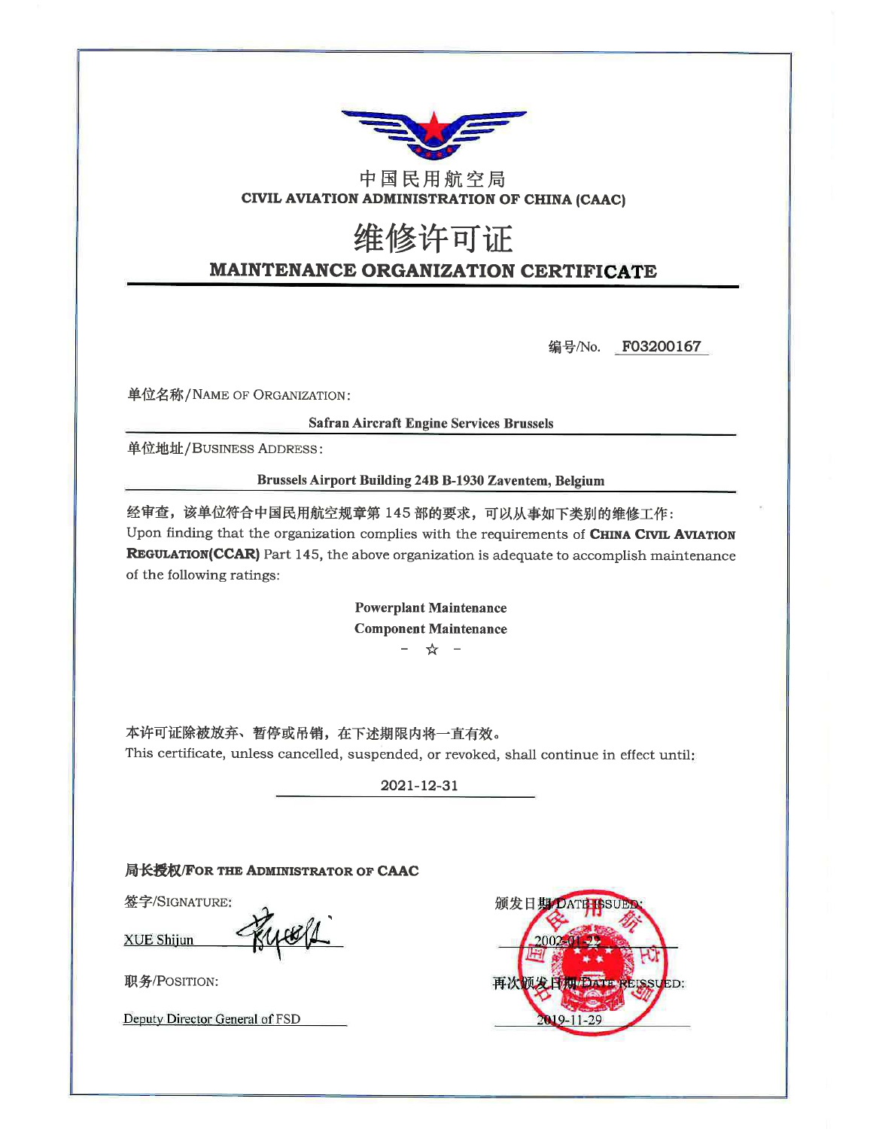

## 中国民用航空局 CIVIL AVIATION ADMINISTRATION OF CHINA (CAAC)

# 维修许可证 MAINTENANCE ORGANIZATION CERTIFICATE

编号/No. F03200167

单位名称/NAME OF ORGANIZATION:

**Safran Aircraft Engine Services Brussels** 

单位地址/BUSINESS ADDRESS:

**Brussels Airport Building 24B B-1930 Zaventem, Belgium** 

经审查,该单位符合中国民用航空规章第145部的要求,可以从事如下类别的维修工作: Upon finding that the organization complies with the requirements of CHINA CIVIL AVIATION **REGULATION(CCAR)** Part 145, the above organization is adequate to accomplish maintenance of the following ratings:

> **Powerplant Maintenance Component Maintenance** - ☆ -

本许可证除被放弃、暂停或吊销,在下述期限内将一直有效。 This certificate, unless cancelled, suspended, or revoked, shall continue in effect until:

2021-12-31

局长授权/FOR THE ADMINISTRATOR OF CAAC

pos/1

签字/SIGNATURE:

**XUE Shijun** 



职务/POSITION:

Deputy Director General of FSD